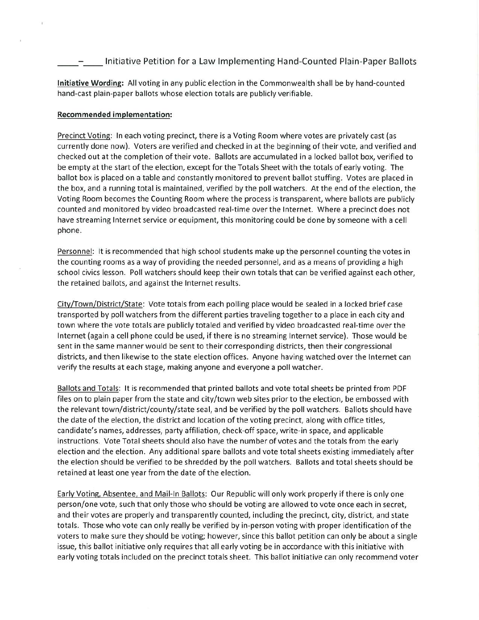## Initiative Petition for <sup>a</sup> Law Implementing Hand-Counted Plain-Paper Ballots

**Initiative Wording:** All voting in any public election in the Commonwealth shall be by hand-counted hand-cast plain-paper ballots whose election totals are publicly verifiable.

## **Recommended implementation:**

Precinct Voting: In each voting precinct, there is <sup>a</sup> Voting Room where votes are privately cast (as currently done now). Voters are verified and checked in at the beginning of their vote, and verified and checked out at the completion of their vote. Ballots are accumulated in <sup>a</sup> locked ballot box, verified to be empty at the start of the election, except for the Totals Sheet with the totals of early voting. The ballot box is placed on a table and constantly monitored to prevent ballot stuffing. Votes are placed in the box, and <sup>a</sup> running total is maintained, verified by the poll watchers. At the end ofthe election, the Voting Room becomes the Counting Room where the process is transparent, where ballots are publicly counted and monitored by video broadcasted real-time over the Internet. Where a precinct does not have streaming Internet service or equipment, this monitoring could be done by someone with a cell phone.

Personnel: It is recommended that high school students make up the personnel counting the votes in the counting rooms as <sup>a</sup> way of providing the needed personnel, and as <sup>a</sup> means of providing <sup>a</sup> high school civics lesson. Poll watchers should keep their own totals that can be verified against each other, the retained ballots, and against the Internet results.

Citv/Town/District/State: Vote totals from each polling place would be sealed in a locked brief case transported by poll watchers from the different parties traveling together to <sup>a</sup> place in each city and town where the vote totals are publicly totaled and verified by video broadcasted real-time over the Internet (again a cell phone could be used, if there is no streaming Internet service). Those would be sent in the same manner would be sent to their corresponding districts, then their congressional districts, and then likewise to the state election offices. Anyone having watched over the Internet can verify the results at each stage, making anyone and everyone <sup>a</sup> poll watcher.

Ballots and Totals: It is recommended that printed ballots and vote total sheets be printed from PDF files on to plain paper from the state and city/town web sites prior to the election, be embossed with the relevant town/district/county/state seal, and be verified by the poll watchers. Ballots should have the date of the election, the district and location of the voting precinct, along with office titles, candidate's names, addresses, party affiliation, check-off space, write-in space, and applicable instructions. Vote Total sheets should also have the number of votes and the totals from the early election and the election. Any additional spare ballots and vote total sheets existing immediately after the election should be verified to be shredded by the poll watchers. Ballots and total sheets should be retained at least one year from the date of the election.

Early Voting, Absentee, and Mail-In Ballots: Our Republic will only work properly ifthere is only one person/one vote, such that only those who should be voting are allowed to vote once each in secret, and their votes are properly and transparently counted, including the precinct, city, district, and state totals. Those who vote can only really be verified by in-person voting with proper identification of the voters to make sure they should be voting; however, since this ballot petition can only be about <sup>a</sup> single issue, this ballot initiative only requires that all early voting be in accordance with this initiative with early voting totals included on the precinct totals sheet. This ballot initiative can only recommend voter